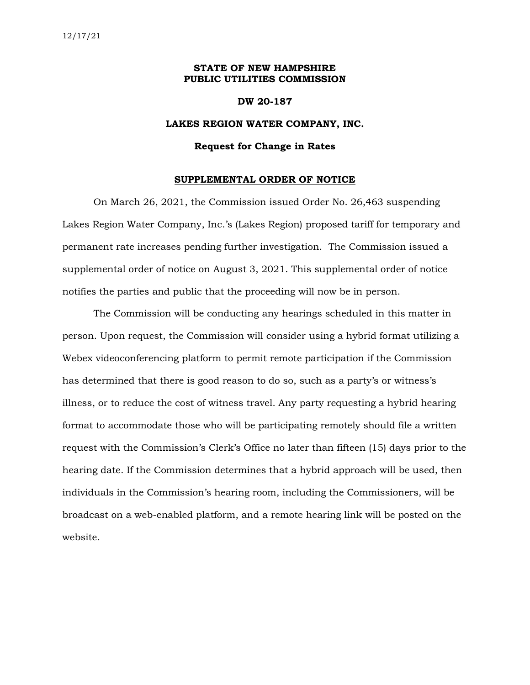## **STATE OF NEW HAMPSHIRE PUBLIC UTILITIES COMMISSION**

### **DW 20-187**

## **LAKES REGION WATER COMPANY, INC.**

#### **Request for Change in Rates**

#### **SUPPLEMENTAL ORDER OF NOTICE**

On March 26, 2021, the Commission issued Order No. 26,463 suspending Lakes Region Water Company, Inc.'s (Lakes Region) proposed tariff for temporary and permanent rate increases pending further investigation. The Commission issued a supplemental order of notice on August 3, 2021. This supplemental order of notice notifies the parties and public that the proceeding will now be in person.

The Commission will be conducting any hearings scheduled in this matter in person. Upon request, the Commission will consider using a hybrid format utilizing a Webex videoconferencing platform to permit remote participation if the Commission has determined that there is good reason to do so, such as a party's or witness's illness, or to reduce the cost of witness travel. Any party requesting a hybrid hearing format to accommodate those who will be participating remotely should file a written request with the Commission's Clerk's Office no later than fifteen (15) days prior to the hearing date. If the Commission determines that a hybrid approach will be used, then individuals in the Commission's hearing room, including the Commissioners, will be broadcast on a web-enabled platform, and a remote hearing link will be posted on the website.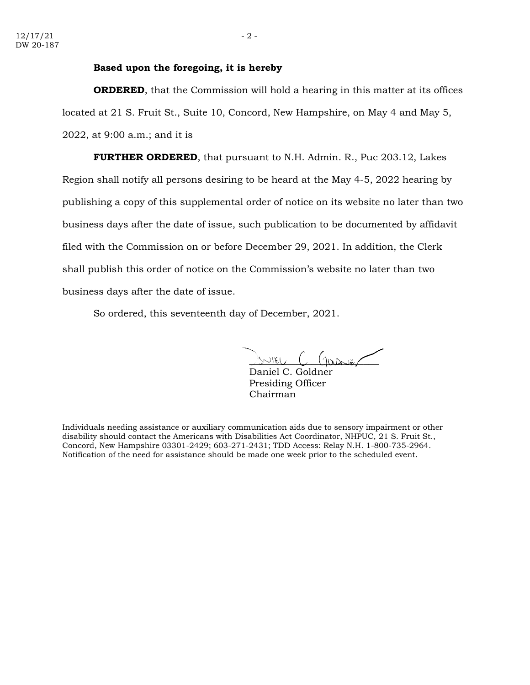## **Based upon the foregoing, it is hereby**

**ORDERED**, that the Commission will hold a hearing in this matter at its offices located at 21 S. Fruit St., Suite 10, Concord, New Hampshire, on May 4 and May 5, 2022, at 9:00 a.m.; and it is

**FURTHER ORDERED**, that pursuant to N.H. Admin. R., Puc 203.12, Lakes Region shall notify all persons desiring to be heard at the May 4-5, 2022 hearing by publishing a copy of this supplemental order of notice on its website no later than two business days after the date of issue, such publication to be documented by affidavit filed with the Commission on or before December 29, 2021. In addition, the Clerk shall publish this order of notice on the Commission's website no later than two business days after the date of issue.

So ordered, this seventeenth day of December, 2021.

JUVIEU C Garier

Daniel C. Goldne Presiding Officer Chairman

Individuals needing assistance or auxiliary communication aids due to sensory impairment or other disability should contact the Americans with Disabilities Act Coordinator, NHPUC, 21 S. Fruit St., Concord, New Hampshire 03301-2429; 603-271-2431; TDD Access: Relay N.H. 1-800-735-2964. Notification of the need for assistance should be made one week prior to the scheduled event.